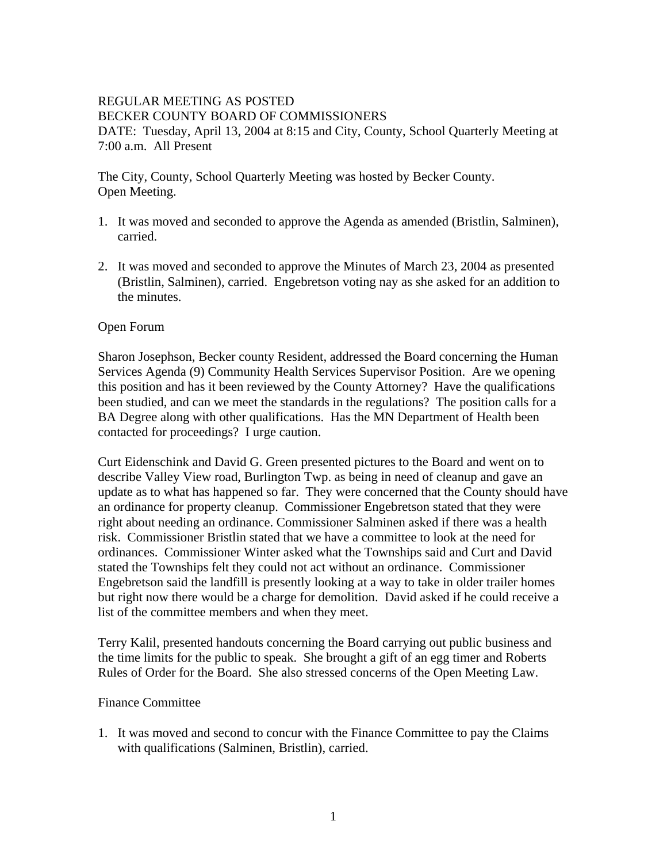#### REGULAR MEETING AS POSTED BECKER COUNTY BOARD OF COMMISSIONERS DATE: Tuesday, April 13, 2004 at 8:15 and City, County, School Quarterly Meeting at 7:00 a.m. All Present

The City, County, School Quarterly Meeting was hosted by Becker County. Open Meeting.

- 1. It was moved and seconded to approve the Agenda as amended (Bristlin, Salminen), carried.
- 2. It was moved and seconded to approve the Minutes of March 23, 2004 as presented (Bristlin, Salminen), carried. Engebretson voting nay as she asked for an addition to the minutes.

## Open Forum

Sharon Josephson, Becker county Resident, addressed the Board concerning the Human Services Agenda (9) Community Health Services Supervisor Position. Are we opening this position and has it been reviewed by the County Attorney? Have the qualifications been studied, and can we meet the standards in the regulations? The position calls for a BA Degree along with other qualifications. Has the MN Department of Health been contacted for proceedings? I urge caution.

Curt Eidenschink and David G. Green presented pictures to the Board and went on to describe Valley View road, Burlington Twp. as being in need of cleanup and gave an update as to what has happened so far. They were concerned that the County should have an ordinance for property cleanup. Commissioner Engebretson stated that they were right about needing an ordinance. Commissioner Salminen asked if there was a health risk. Commissioner Bristlin stated that we have a committee to look at the need for ordinances. Commissioner Winter asked what the Townships said and Curt and David stated the Townships felt they could not act without an ordinance. Commissioner Engebretson said the landfill is presently looking at a way to take in older trailer homes but right now there would be a charge for demolition. David asked if he could receive a list of the committee members and when they meet.

Terry Kalil, presented handouts concerning the Board carrying out public business and the time limits for the public to speak. She brought a gift of an egg timer and Roberts Rules of Order for the Board. She also stressed concerns of the Open Meeting Law.

### Finance Committee

1. It was moved and second to concur with the Finance Committee to pay the Claims with qualifications (Salminen, Bristlin), carried.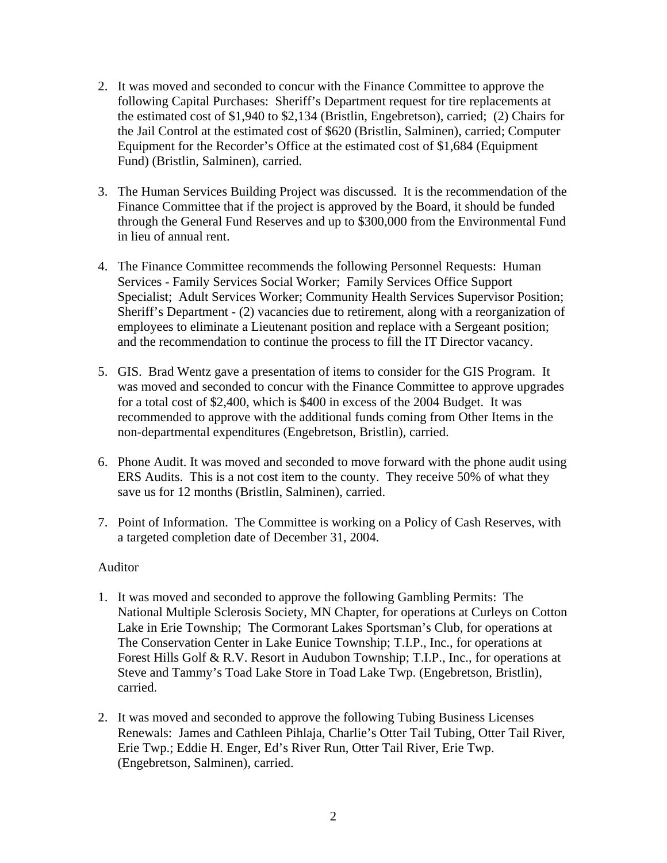- 2. It was moved and seconded to concur with the Finance Committee to approve the following Capital Purchases: Sheriff's Department request for tire replacements at the estimated cost of \$1,940 to \$2,134 (Bristlin, Engebretson), carried; (2) Chairs for the Jail Control at the estimated cost of \$620 (Bristlin, Salminen), carried; Computer Equipment for the Recorder's Office at the estimated cost of \$1,684 (Equipment Fund) (Bristlin, Salminen), carried.
- 3. The Human Services Building Project was discussed. It is the recommendation of the Finance Committee that if the project is approved by the Board, it should be funded through the General Fund Reserves and up to \$300,000 from the Environmental Fund in lieu of annual rent.
- 4. The Finance Committee recommends the following Personnel Requests: Human Services - Family Services Social Worker; Family Services Office Support Specialist; Adult Services Worker; Community Health Services Supervisor Position; Sheriff's Department - (2) vacancies due to retirement, along with a reorganization of employees to eliminate a Lieutenant position and replace with a Sergeant position; and the recommendation to continue the process to fill the IT Director vacancy.
- 5. GIS. Brad Wentz gave a presentation of items to consider for the GIS Program. It was moved and seconded to concur with the Finance Committee to approve upgrades for a total cost of \$2,400, which is \$400 in excess of the 2004 Budget. It was recommended to approve with the additional funds coming from Other Items in the non-departmental expenditures (Engebretson, Bristlin), carried.
- 6. Phone Audit. It was moved and seconded to move forward with the phone audit using ERS Audits. This is a not cost item to the county. They receive 50% of what they save us for 12 months (Bristlin, Salminen), carried.
- 7. Point of Information. The Committee is working on a Policy of Cash Reserves, with a targeted completion date of December 31, 2004.

### Auditor

- 1. It was moved and seconded to approve the following Gambling Permits: The National Multiple Sclerosis Society, MN Chapter, for operations at Curleys on Cotton Lake in Erie Township; The Cormorant Lakes Sportsman's Club, for operations at The Conservation Center in Lake Eunice Township; T.I.P., Inc., for operations at Forest Hills Golf & R.V. Resort in Audubon Township; T.I.P., Inc., for operations at Steve and Tammy's Toad Lake Store in Toad Lake Twp. (Engebretson, Bristlin), carried.
- 2. It was moved and seconded to approve the following Tubing Business Licenses Renewals: James and Cathleen Pihlaja, Charlie's Otter Tail Tubing, Otter Tail River, Erie Twp.; Eddie H. Enger, Ed's River Run, Otter Tail River, Erie Twp. (Engebretson, Salminen), carried.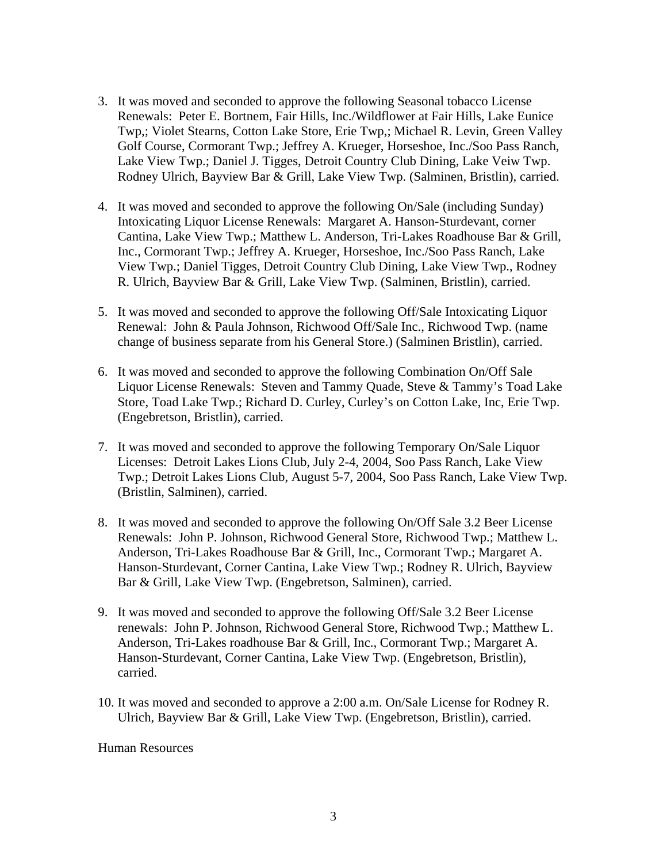- 3. It was moved and seconded to approve the following Seasonal tobacco License Renewals: Peter E. Bortnem, Fair Hills, Inc./Wildflower at Fair Hills, Lake Eunice Twp,; Violet Stearns, Cotton Lake Store, Erie Twp,; Michael R. Levin, Green Valley Golf Course, Cormorant Twp.; Jeffrey A. Krueger, Horseshoe, Inc./Soo Pass Ranch, Lake View Twp.; Daniel J. Tigges, Detroit Country Club Dining, Lake Veiw Twp. Rodney Ulrich, Bayview Bar & Grill, Lake View Twp. (Salminen, Bristlin), carried.
- 4. It was moved and seconded to approve the following On/Sale (including Sunday) Intoxicating Liquor License Renewals: Margaret A. Hanson-Sturdevant, corner Cantina, Lake View Twp.; Matthew L. Anderson, Tri-Lakes Roadhouse Bar & Grill, Inc., Cormorant Twp.; Jeffrey A. Krueger, Horseshoe, Inc./Soo Pass Ranch, Lake View Twp.; Daniel Tigges, Detroit Country Club Dining, Lake View Twp., Rodney R. Ulrich, Bayview Bar & Grill, Lake View Twp. (Salminen, Bristlin), carried.
- 5. It was moved and seconded to approve the following Off/Sale Intoxicating Liquor Renewal: John & Paula Johnson, Richwood Off/Sale Inc., Richwood Twp. (name change of business separate from his General Store.) (Salminen Bristlin), carried.
- 6. It was moved and seconded to approve the following Combination On/Off Sale Liquor License Renewals: Steven and Tammy Quade, Steve & Tammy's Toad Lake Store, Toad Lake Twp.; Richard D. Curley, Curley's on Cotton Lake, Inc, Erie Twp. (Engebretson, Bristlin), carried.
- 7. It was moved and seconded to approve the following Temporary On/Sale Liquor Licenses: Detroit Lakes Lions Club, July 2-4, 2004, Soo Pass Ranch, Lake View Twp.; Detroit Lakes Lions Club, August 5-7, 2004, Soo Pass Ranch, Lake View Twp. (Bristlin, Salminen), carried.
- 8. It was moved and seconded to approve the following On/Off Sale 3.2 Beer License Renewals: John P. Johnson, Richwood General Store, Richwood Twp.; Matthew L. Anderson, Tri-Lakes Roadhouse Bar & Grill, Inc., Cormorant Twp.; Margaret A. Hanson-Sturdevant, Corner Cantina, Lake View Twp.; Rodney R. Ulrich, Bayview Bar & Grill, Lake View Twp. (Engebretson, Salminen), carried.
- 9. It was moved and seconded to approve the following Off/Sale 3.2 Beer License renewals: John P. Johnson, Richwood General Store, Richwood Twp.; Matthew L. Anderson, Tri-Lakes roadhouse Bar & Grill, Inc., Cormorant Twp.; Margaret A. Hanson-Sturdevant, Corner Cantina, Lake View Twp. (Engebretson, Bristlin), carried.
- 10. It was moved and seconded to approve a 2:00 a.m. On/Sale License for Rodney R. Ulrich, Bayview Bar & Grill, Lake View Twp. (Engebretson, Bristlin), carried.

#### Human Resources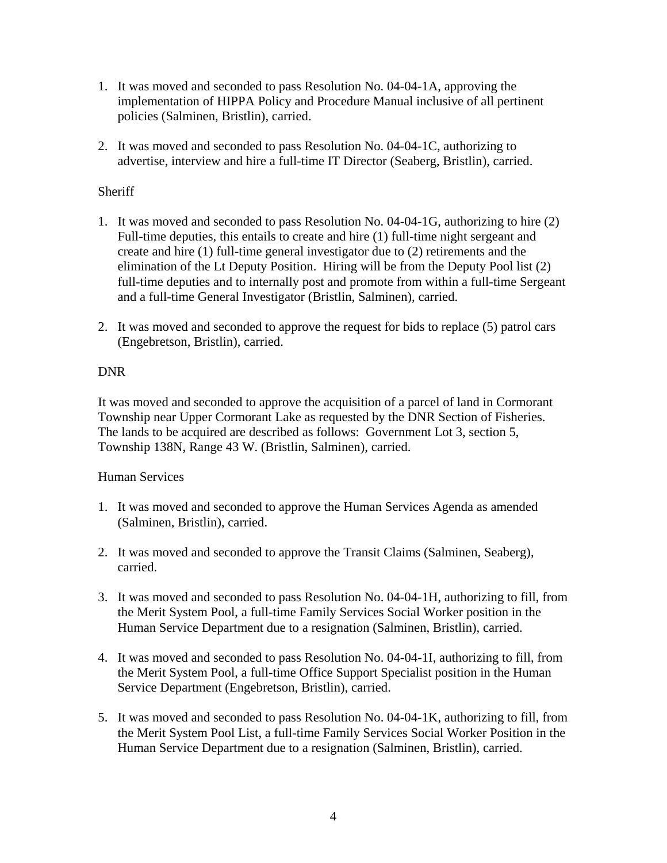- 1. It was moved and seconded to pass Resolution No. 04-04-1A, approving the implementation of HIPPA Policy and Procedure Manual inclusive of all pertinent policies (Salminen, Bristlin), carried.
- 2. It was moved and seconded to pass Resolution No. 04-04-1C, authorizing to advertise, interview and hire a full-time IT Director (Seaberg, Bristlin), carried.

# **Sheriff**

- 1. It was moved and seconded to pass Resolution No. 04-04-1G, authorizing to hire (2) Full-time deputies, this entails to create and hire (1) full-time night sergeant and create and hire (1) full-time general investigator due to (2) retirements and the elimination of the Lt Deputy Position. Hiring will be from the Deputy Pool list (2) full-time deputies and to internally post and promote from within a full-time Sergeant and a full-time General Investigator (Bristlin, Salminen), carried.
- 2. It was moved and seconded to approve the request for bids to replace (5) patrol cars (Engebretson, Bristlin), carried.

# DNR

It was moved and seconded to approve the acquisition of a parcel of land in Cormorant Township near Upper Cormorant Lake as requested by the DNR Section of Fisheries. The lands to be acquired are described as follows: Government Lot 3, section 5, Township 138N, Range 43 W. (Bristlin, Salminen), carried.

## Human Services

- 1. It was moved and seconded to approve the Human Services Agenda as amended (Salminen, Bristlin), carried.
- 2. It was moved and seconded to approve the Transit Claims (Salminen, Seaberg), carried.
- 3. It was moved and seconded to pass Resolution No. 04-04-1H, authorizing to fill, from the Merit System Pool, a full-time Family Services Social Worker position in the Human Service Department due to a resignation (Salminen, Bristlin), carried.
- 4. It was moved and seconded to pass Resolution No. 04-04-1I, authorizing to fill, from the Merit System Pool, a full-time Office Support Specialist position in the Human Service Department (Engebretson, Bristlin), carried.
- 5. It was moved and seconded to pass Resolution No. 04-04-1K, authorizing to fill, from the Merit System Pool List, a full-time Family Services Social Worker Position in the Human Service Department due to a resignation (Salminen, Bristlin), carried.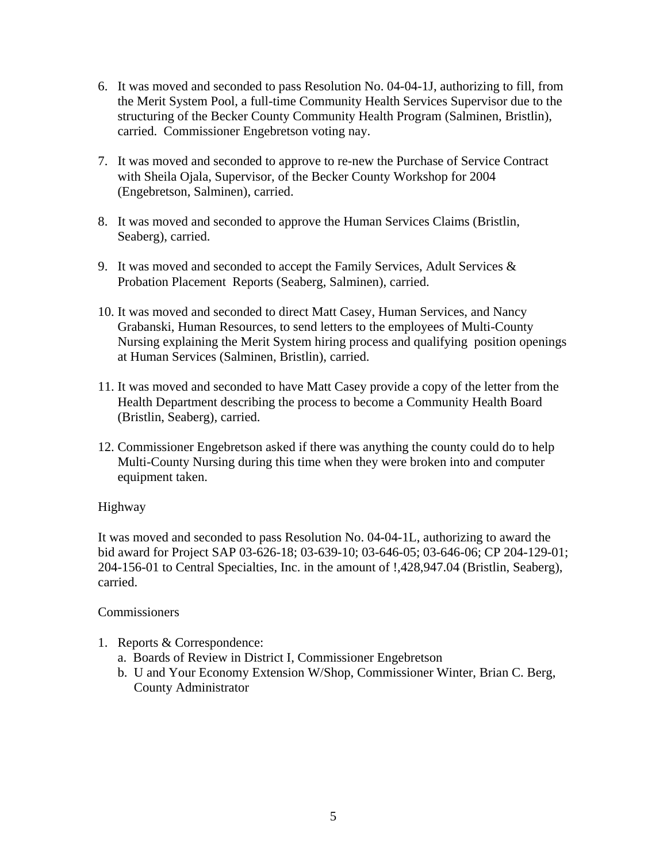- 6. It was moved and seconded to pass Resolution No. 04-04-1J, authorizing to fill, from the Merit System Pool, a full-time Community Health Services Supervisor due to the structuring of the Becker County Community Health Program (Salminen, Bristlin), carried. Commissioner Engebretson voting nay.
- 7. It was moved and seconded to approve to re-new the Purchase of Service Contract with Sheila Ojala, Supervisor, of the Becker County Workshop for 2004 (Engebretson, Salminen), carried.
- 8. It was moved and seconded to approve the Human Services Claims (Bristlin, Seaberg), carried.
- 9. It was moved and seconded to accept the Family Services, Adult Services  $\&$ Probation Placement Reports (Seaberg, Salminen), carried.
- 10. It was moved and seconded to direct Matt Casey, Human Services, and Nancy Grabanski, Human Resources, to send letters to the employees of Multi-County Nursing explaining the Merit System hiring process and qualifying position openings at Human Services (Salminen, Bristlin), carried.
- 11. It was moved and seconded to have Matt Casey provide a copy of the letter from the Health Department describing the process to become a Community Health Board (Bristlin, Seaberg), carried.
- 12. Commissioner Engebretson asked if there was anything the county could do to help Multi-County Nursing during this time when they were broken into and computer equipment taken.

## Highway

It was moved and seconded to pass Resolution No. 04-04-1L, authorizing to award the bid award for Project SAP 03-626-18; 03-639-10; 03-646-05; 03-646-06; CP 204-129-01; 204-156-01 to Central Specialties, Inc. in the amount of !,428,947.04 (Bristlin, Seaberg), carried.

### **Commissioners**

- 1. Reports & Correspondence:
	- a. Boards of Review in District I, Commissioner Engebretson
	- b. U and Your Economy Extension W/Shop, Commissioner Winter, Brian C. Berg, County Administrator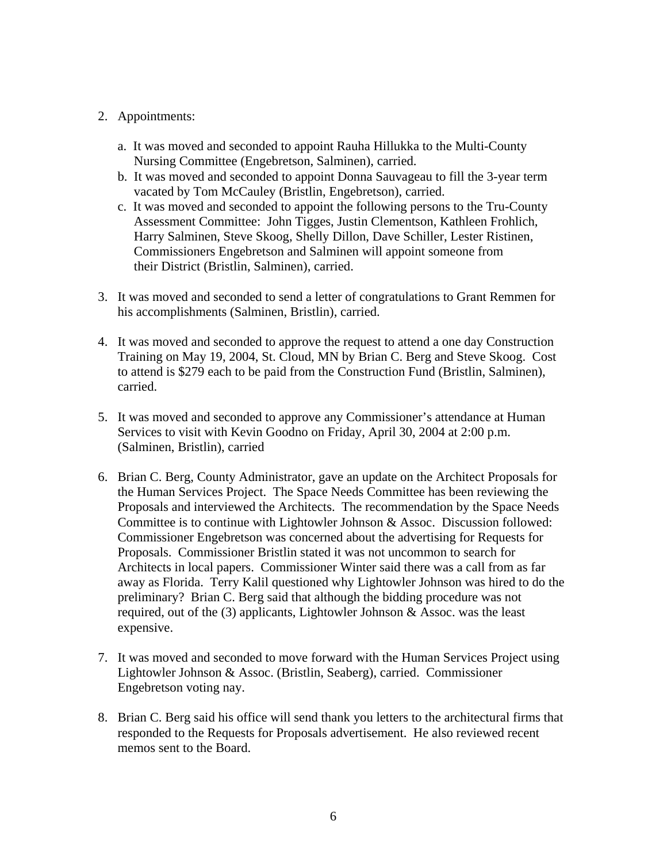## 2. Appointments:

- a. It was moved and seconded to appoint Rauha Hillukka to the Multi-County Nursing Committee (Engebretson, Salminen), carried.
- b. It was moved and seconded to appoint Donna Sauvageau to fill the 3-year term vacated by Tom McCauley (Bristlin, Engebretson), carried.
- c. It was moved and seconded to appoint the following persons to the Tru-County Assessment Committee: John Tigges, Justin Clementson, Kathleen Frohlich, Harry Salminen, Steve Skoog, Shelly Dillon, Dave Schiller, Lester Ristinen, Commissioners Engebretson and Salminen will appoint someone from their District (Bristlin, Salminen), carried.
- 3. It was moved and seconded to send a letter of congratulations to Grant Remmen for his accomplishments (Salminen, Bristlin), carried.
- 4. It was moved and seconded to approve the request to attend a one day Construction Training on May 19, 2004, St. Cloud, MN by Brian C. Berg and Steve Skoog. Cost to attend is \$279 each to be paid from the Construction Fund (Bristlin, Salminen), carried.
- 5. It was moved and seconded to approve any Commissioner's attendance at Human Services to visit with Kevin Goodno on Friday, April 30, 2004 at 2:00 p.m. (Salminen, Bristlin), carried
- 6. Brian C. Berg, County Administrator, gave an update on the Architect Proposals for the Human Services Project. The Space Needs Committee has been reviewing the Proposals and interviewed the Architects. The recommendation by the Space Needs Committee is to continue with Lightowler Johnson & Assoc. Discussion followed: Commissioner Engebretson was concerned about the advertising for Requests for Proposals. Commissioner Bristlin stated it was not uncommon to search for Architects in local papers. Commissioner Winter said there was a call from as far away as Florida. Terry Kalil questioned why Lightowler Johnson was hired to do the preliminary? Brian C. Berg said that although the bidding procedure was not required, out of the  $(3)$  applicants, Lightowler Johnson & Assoc. was the least expensive.
- 7. It was moved and seconded to move forward with the Human Services Project using Lightowler Johnson & Assoc. (Bristlin, Seaberg), carried. Commissioner Engebretson voting nay.
- 8. Brian C. Berg said his office will send thank you letters to the architectural firms that responded to the Requests for Proposals advertisement. He also reviewed recent memos sent to the Board.